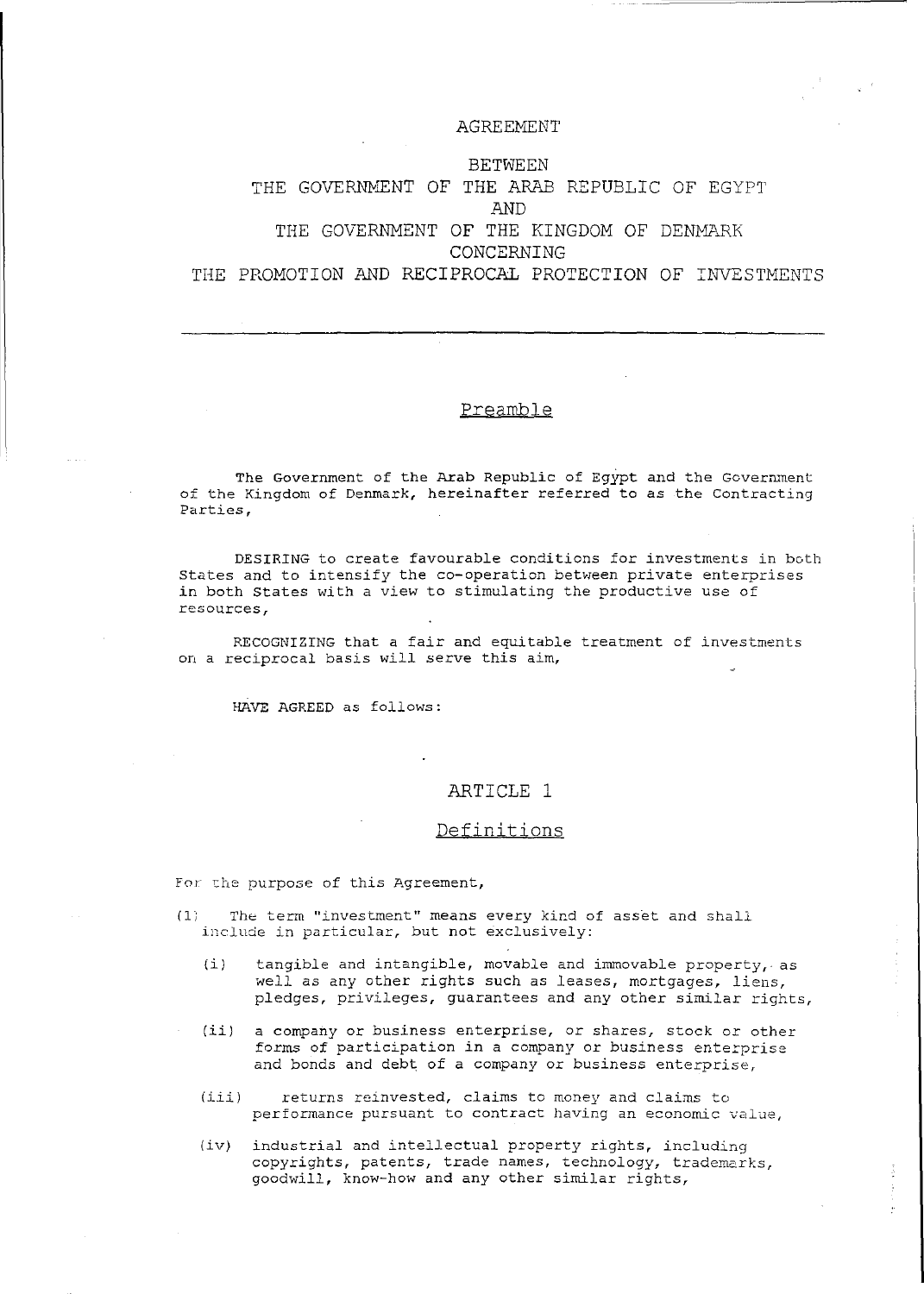#### AGREEMENT

# BETWEEN THE GOVERNHENT OF THE ARAB REPUBLIC OF EGYPT AND THE GOVERNMENT OF THE KINGDOM OF DENMARK CONCERNING THE PROMOTION AND RECIPROCAL PROTECTION OF INVESTMENTS

### Preamble

The Government of the Arab Republic of Egypt and the Government of the *Kingdom* of Denmark, hereinafter referred to as the Contracting Parties,

DESIRING to create favourable *conditions* for investments in both States and to intensify the co-operation between private enterprises *in* both States with a view to stimulating the productive use of **resources,** 

RECOGNIZING that a fair and equitable treatment of investments on a reciprocal basis will serve this *aim,* 

HAVE AGREED as follows:

### ARTICLE 1

#### Definitions

For the purpose of this Agreement,

- (1) The term "investment" means every kind of asset and shall include *in* particular, but not exclusively:
	- (i) tangible and intangible, movable and immovable property, as well as any other rights such as leases, mortgages, liens, pledges, privileges, guarantees and any other similar rights,
	- *(ii)* a company or business enterprise, or shares, stock or other forms of *participation in* a company or business enterprise and bonds and debt of a company or business *enterprise,*
	- *(iii)* returns reinvested, claims to money and claims to performancE: pursuant to contract having an *economic* value,
	- *(iv)* industrial and intellectual property rights, *including*  copyrights, patents, trade names, technology, trademarks, *goodwill,* know-how and any other similar rights,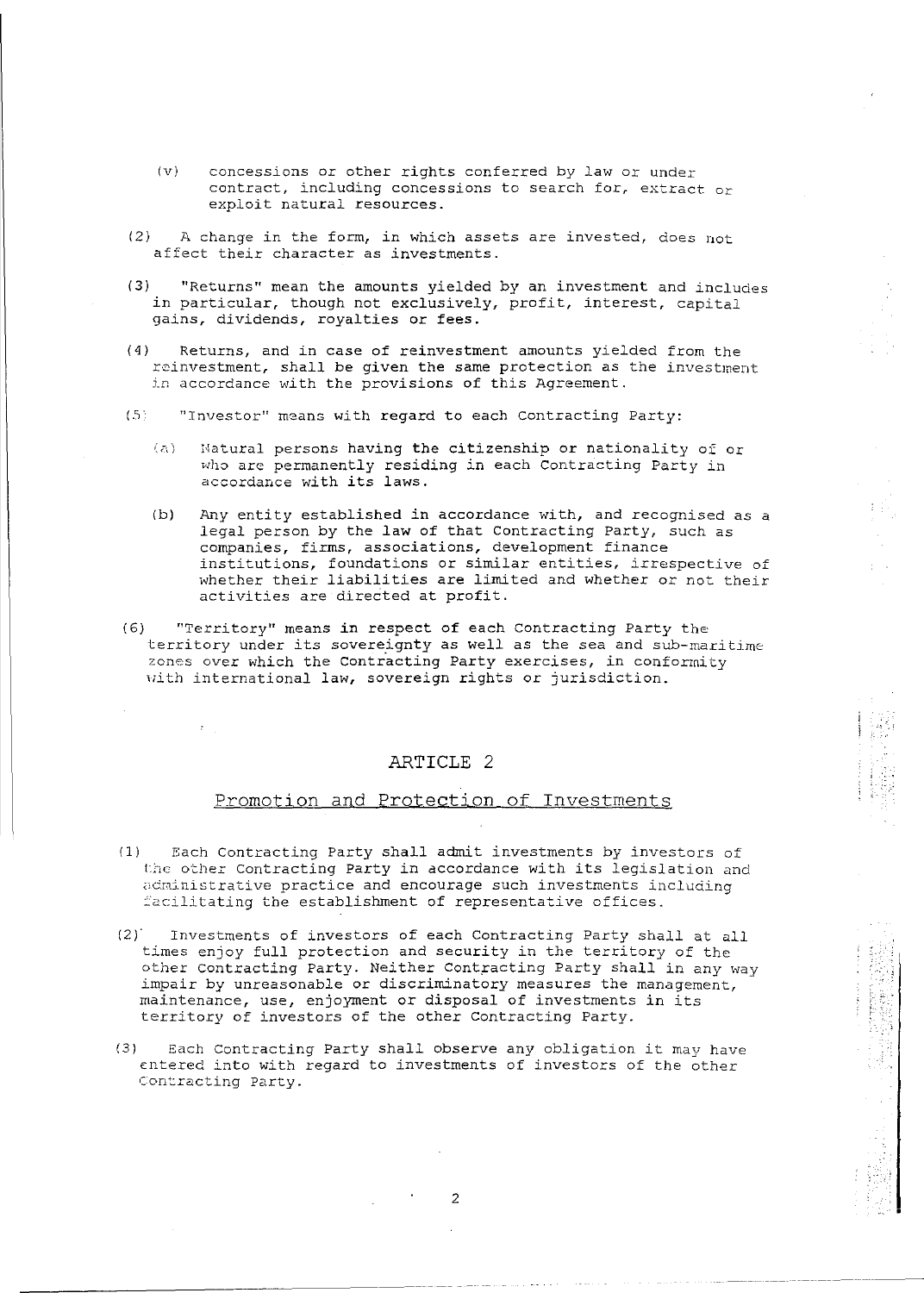- (v) concessions or other rights conferred by law or under contract, including concessions to search for, extract or exploit natural resources.
- (2) A change in the form, in which assets are invested, does not affect their character as investments.
- (3) "Returns" mean the amounts yielded by an investment and includes in particular, though not exclusively, profit, interest, capital gains, dividends, royalties or fees.
- (4) Returns, and in case of reinvestment amounts yielded from the reinvestment, shall be given the same protection as the investment in accordance with the provisions of this Agreement.
- (.5"' "Investor" means with regard to each Contracting Party:
	- (a) Matural persons having the citizenship or nationality of or who are permanently residing in each Contracting Party in accordance with its laws.
	- (b)  $\rho$  any entity established in accordance with, and recognised as a legal person by the law of that Contracting Party, such as companies, firms, associations, development finance institutions, foundations or similar entities, irrespective of mberederoms, roundations of similar ensiesse, interpretive of activities are directed at profit.
- (6) "Territory" means in respect of each contracting Party the territory under its sovereignty as well as the sea and sub-maritime zones over which the Contracting Party exercises, in conformity with international law, sovereign rights or jurisdiction.

### Promotion and Protection of Investments

- (1) Each Contracting Party shall admit investments by investors of Lie o'cher Contracting party in accordance with its *legislation* and administrative practice and encourage such investments including facilitating the establishment of representative offices.
- (2) Investments of investors of each Contracting Party shall at all times enjoy full protection and security in the territory of the other Contracting Party. Neither Contracting Party shall in any way impair by unreasonable or discriminatory measures the management, maintenance, use, enjoyment or disposal of investments in its territory of investors of the other Contracting Party.

.... !

(3) Each Contracting Party shall observe any obligation it may have entered into with regard to investments of investors of the other Contracting Party.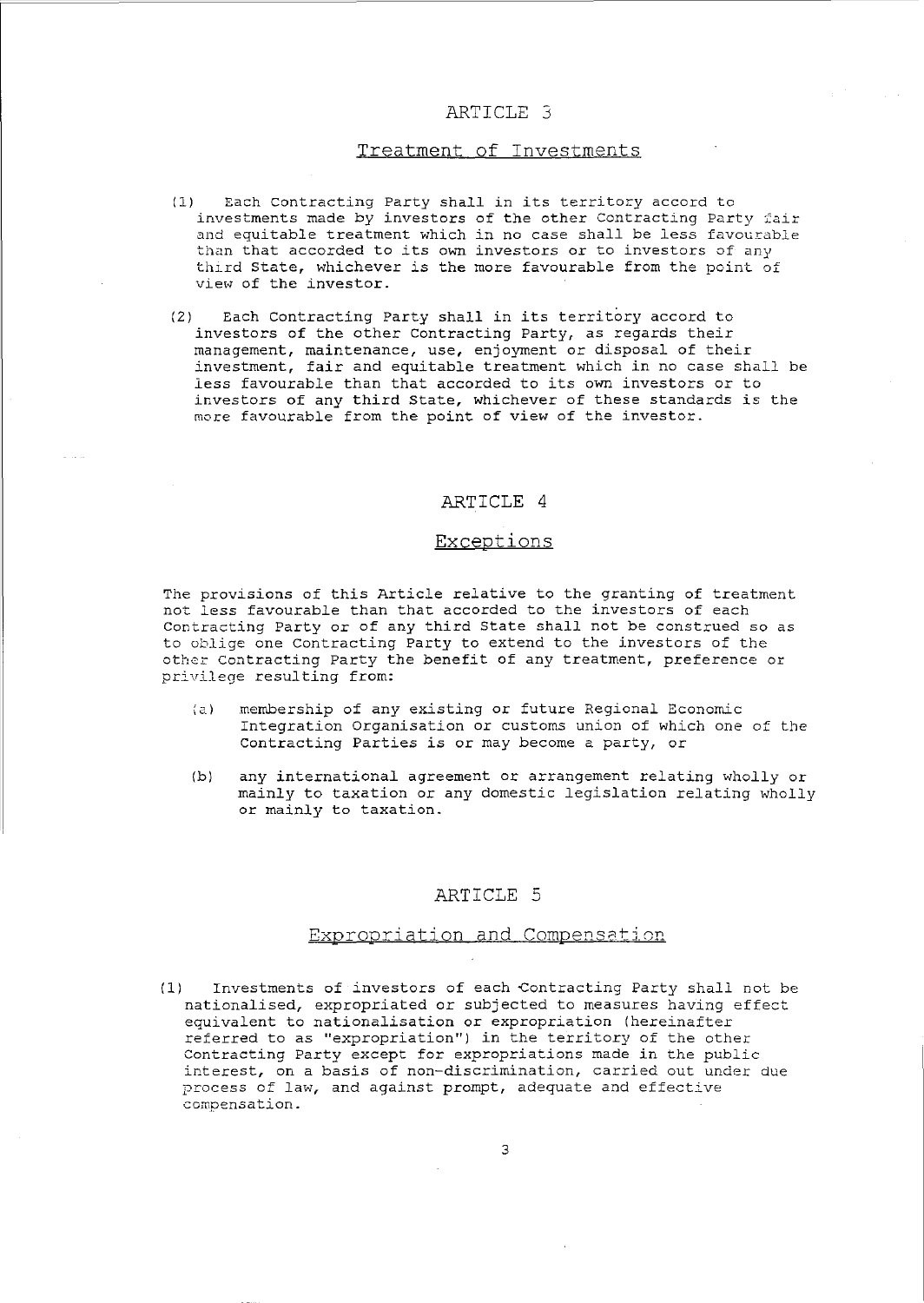### Treatment of Investments

- (1) Each contracting Party shall in its territory accord to investments made by investors of the other Contracting Party fair and equitable treatment which in no case shall be less favourable than that accorded to its own investors or to investors of any third State, whichever is the more favourable from the point of view of the investor.
- (2) Each Contracting Party shall in its territory accord to investors of the other Contracting Party, as regards their management, maintenance, use, enjoyment or disposal of their investment, fair and equitable treatment which in no case shall be less favourable than that accorded to its own investors or to investors of any third State, whichever of these standards is the more favourable from the point of view of the investor.

### ARTICLE 4

### Exceptions

The provisions of this Article relative to the granting of treatment not less favourable than that accorded to the investors of each Contracting Party or of any third State shall not be construed so as to oblige one Contracting Party to extend to the investors of the other Contracting Party the benefit of any treatment, preference or privilege resulting from:

- (a) membership of any existing or future Regional Economic Integration Organisation or customs union of which one of the Contracting Parties is or may become a party, or
- (b) any international agreement or arrangement relating wholly or mainly to taxation or any domestic legislation relating wholly or mainly to taxation.

### ARTICLE 5

#### Expropriation and Compensation

(1) Investments of investors of each Contracting Party shall not be nationalised, expropriated or subjected to measures having effect equivalent to nationalisation or expropriation (hereinafter referred to as "expropriation") in the territory of the other Contracting Party except for expropriations made in the public interest, on a basis of non-discrimination, carried out under due process of law, and against prompt, adequate and effective **compensation.**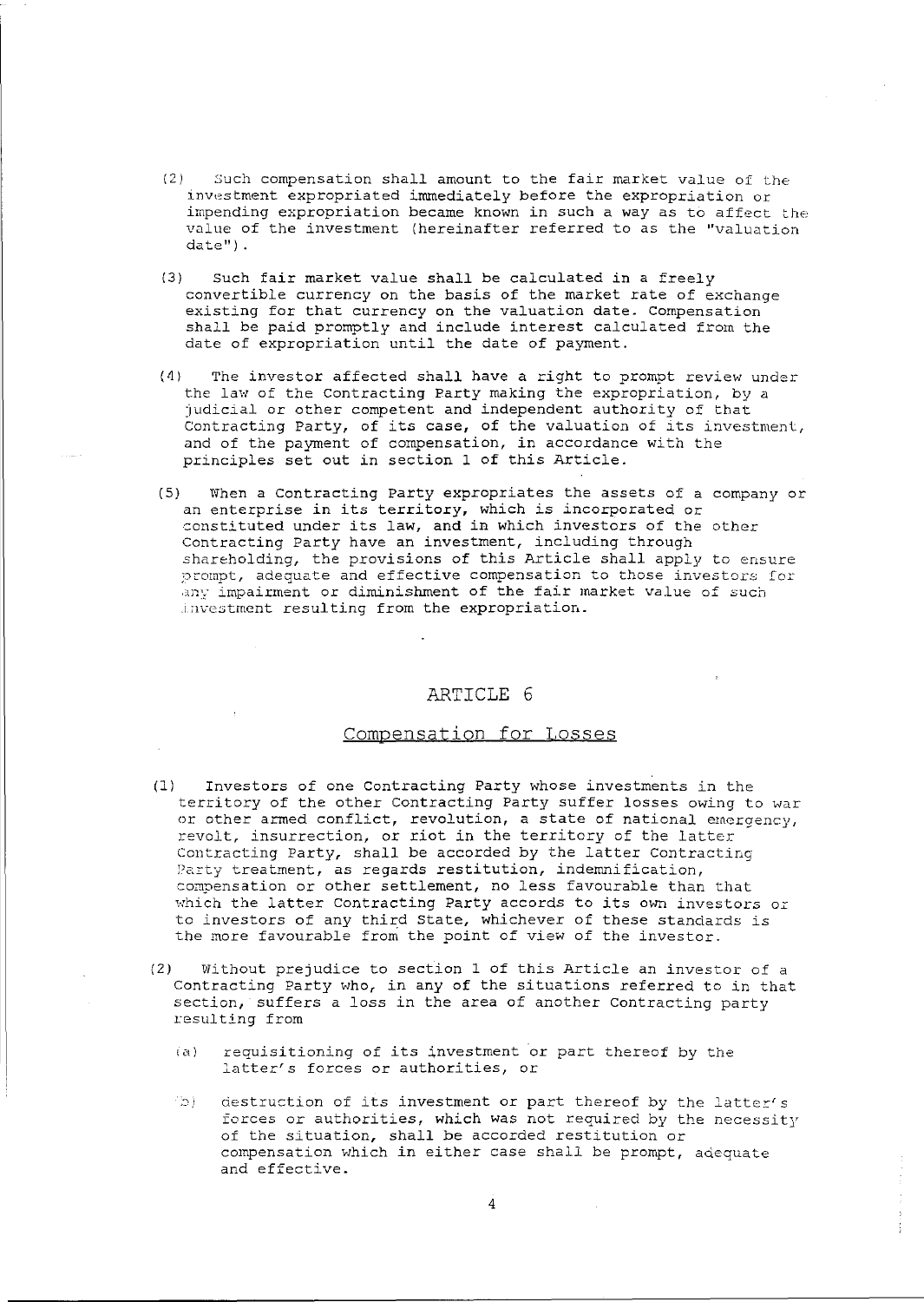- (2) Such compensation shall amount to the fair market value of the investment expropriated immediately before the expropriation or impending expropriation became known in such a way as to affect the value of the investment (hereinafter referred to as the "valuation date") .
- (3) Such fair market value shall be calculated in a freely convertible currency on the basis of the market rate of exchange existing for that currency on the valuation date. Compensation shall be paid promptly and include interest calculated from the date of expropriation until the date of payment.
- (4) The investor affected shall have a right to prompt review under the law of the Contracting Party making the expropriation, by a judicial or other competent and independent authority of that Contracting Party, of its case, of the valuation of its investment, and of the payment of compensation, in accordance with the principles set out in section 1 of this Article.
- (5) When a Contracting party expropriates the assets of a company or an enterprise in its territory, which is incorporated or constituted under its law, and in which investors of the other Contracting Party have an investment, including through shareholding, the provisions of this Article shall apply to ensure prompt, adequate and effective compensation to those investors for any impairment or diminishment of the fair market value of such investment resulting from the expropriation.

#### Compensation for Losses

- (1) Investors of one Contracting Party whose investments in the territory of the other Contracting Party suffer losses owing to war or other armed conflict, revolution, a state of national emergency, revolt, insurrection, or riot in the territory of the latter Contracting Party, shall be accorded by the latter Contracting Party treatment, as regards restitution, indemnification, compensation or other settlement, no less favourable than that which the latter Contracting Party accords to its own investors or to investors of any third state, whichever of these standards is the more favourable from the point of view of the investor.
- (2) Without prejudice to section 1 of this Article an investor of a Contracting Party who, in any of the situations referred to in that section, suffers a loss in the area of another contracting party resulting from
	- (a) requisitioning of its investment or part thereof by the latter's forces or authorities, or
	- $\langle \phi \rangle$  destruction of its investment or part thereof by the latter's forces or authorities, which was not required by the necessity of the situation, shall be accorded restitution or compensation which in either case shall be prompt, adequate and effective.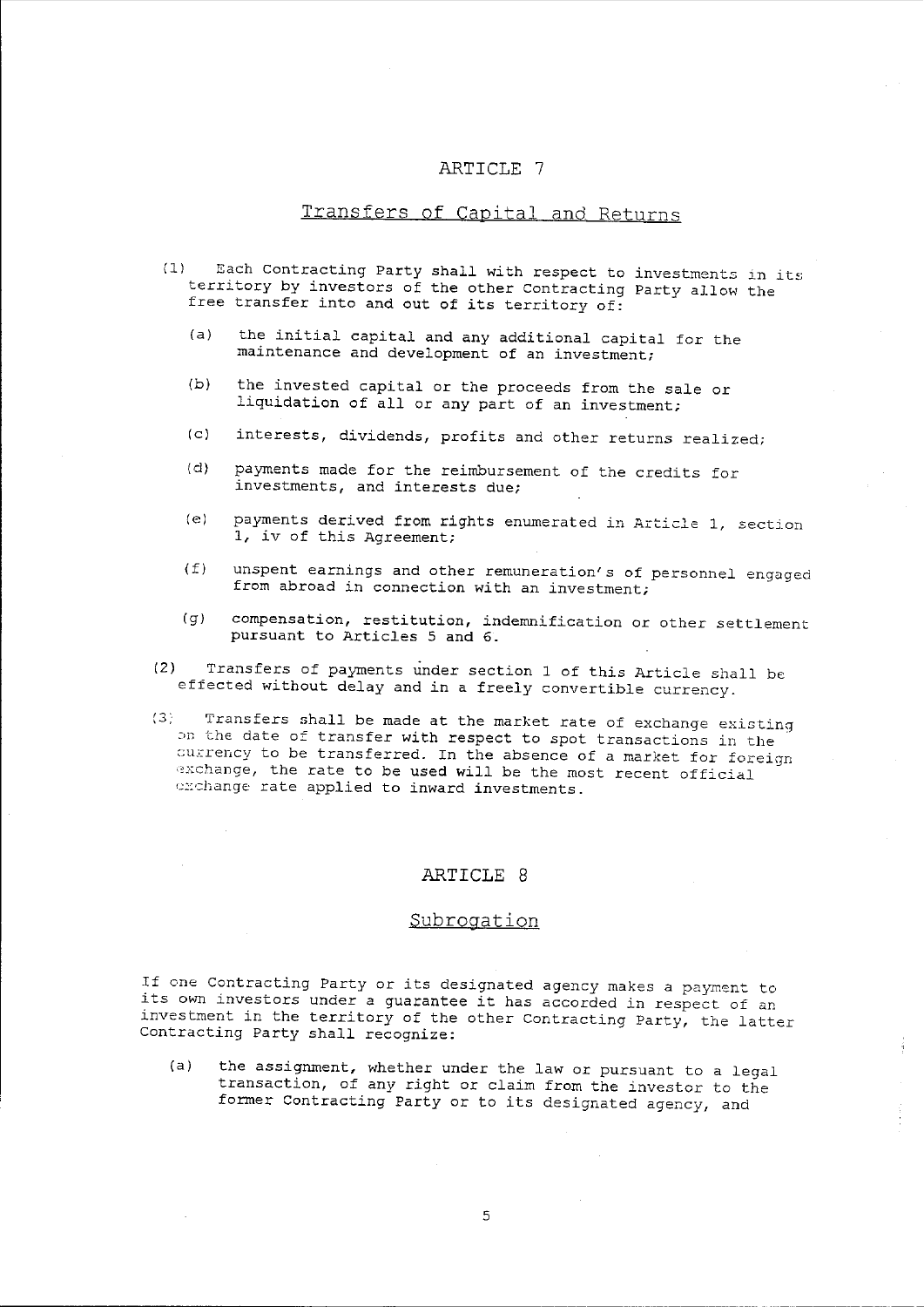## Transfers of Capital and Returns

- (1) Each Contracting Party shall with respect to investments in its territory by investors of the other Contracting Party allow the free transfer into and out of its territory of:
	- (a) the initial capital and any additional capital for the maintenance and development of an investment;
	- (b) the invested capital or the proceeds from the sale or liquidation of all or any part of an investment;
	- (c) interests, dividends, profits and other returns realized;
	- (d) payments made for the reimbursement of the credits for investments, and interests due;
	- (e) payments derived from rights enumerated in Article 1, section 1, iv of this Agreement;
	- $(f)$  unspent earnings and other remuneration's of personnel engaged from abroad in connection with an investment;
	- (g) compensation, restitution, indemnification or other settlement pursuant to Articles 5 and 6.
- (2) Transfers of payments under section 1 of this Article shall be effected without delay and in a freely convertible currency.
- (3) Transfers shall be made at the market rate of exchange existing on the date of transfer with respect to spot transactions in the currency to be transferred. In the absence of a market for foreign exchange, the rate to be used will be the most recent official exchange rate applied to inward investments.

### ARTICLE 8

### Subrogation

If one Contracting Party or its designated agency makes a payment to its own investors under a guarantee it has accorded in respect of an investment in the territory of the other Contracting Party, the latter Contracting Party shall recognize:

(a) the assignment, whether under the law or pursuant to a legal transaction, of any right or claim from the investor to the former Contracting Party or to its designated agency, and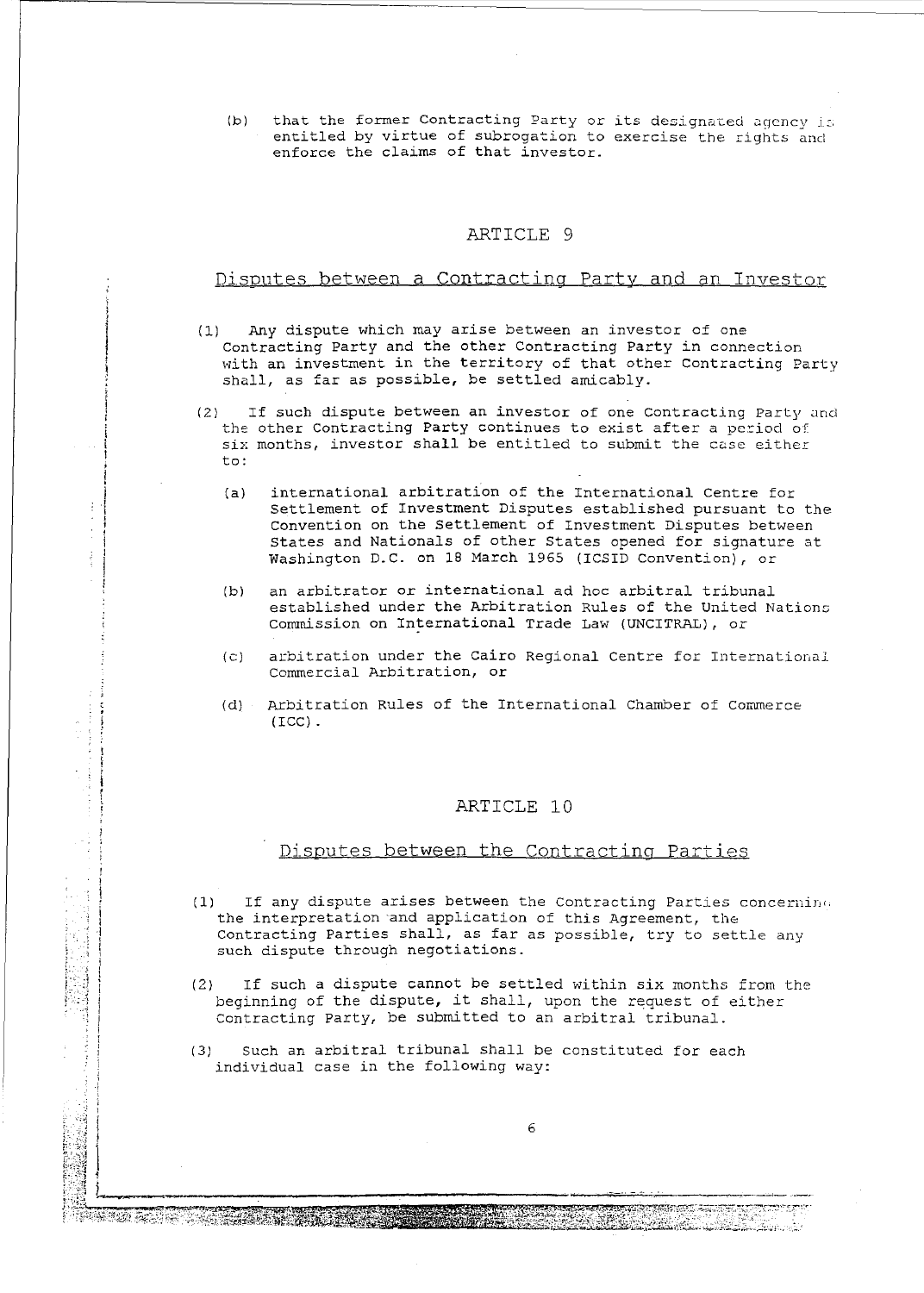(b) that the former Contracting Party or its designated agency is entitled by virtue of subrogation to exercise the rights and enforce the claims of that investor.

#### ARTICLE 9

#### Disputes between a Contracting Party and an Investor

- (1) Any dispute which may arise between an investor of one Contracting party and the other Contracting Party in connection with an investment in the territory of that other Contracting Party shall, as far as possible, be settled amicably.
- (2) If such dispute between an investor of one Contracting Party and the other Contracting Party continues to exist after a period of six months, investor shall be entitled to submit the case either to:
	- (a) international arbitration of the International Centre for Settlement of Investment Disputes established pursuant to the Convention on the Settlement of Investment Disputes between states and Nationals of other States opened for signature at Washington D.C. on 18 March 1965 (ICSID Convention), or
	- (b) an arbitrator or international ad hoc arbitral tribunal established under the Arbitration Rules of the United Nations comnission on International Trade Law (UNCITRAL), or
	- (c) arbitration under the Cairo Regional Centre for International Commercial Arbitration, or
	- (d) Arbitration Rules of the International Chamber of Commerce (ICC) .

### ARTICLE 10

### Disputes between the Contracting Parties

- (1) If any dispute arises between the Contracting Parties concernin. the interpretation 'and application of this Agreement, the Contracting Parties shall, as far as possible, try to settle any such dispute through negotiations.
- (2) If such a dispute cannot be settled within six months from the beginning of the dispute, it shall, upon the request of either Contracting Party, be submitted to an arbitral tribunal.
- (3) Such an arbitral tribunal shall be constituted for each individual case in the following way:

 $\mathcal{L}$  , i.e., i.e., i.e., i.e., i.e., i.e., i.e., i.e., i.e., i.e., i.e., i.e., i.e., i.e., i.e., i.e., i.e., i.e., i.e., i.e., i.e., i.e., i.e., i.e., i.e., i.e., i.e., i.e., i.e., i.e., i.e., i.e., i.e., i.e., i.e., i ,

 $\mathcal{L}_{\mathcal{A}}$ 

 $\frac{2}{3}$ 

Ĵ.

**.1** 

en Bernard (1999), 1999, 1999, 1999, 1999, 1999, 1999, 1999, 1999, 1999, 1999, 1999, 1999, 1999, 1999, 1999, 1<br>1999, 1999, 1999, 1999, 1999, 1999, 1999, 1999, 1999, 1999, 1999, 1999, 1999, 1999, 1999, 1999, 1999, 1999, 1<br>1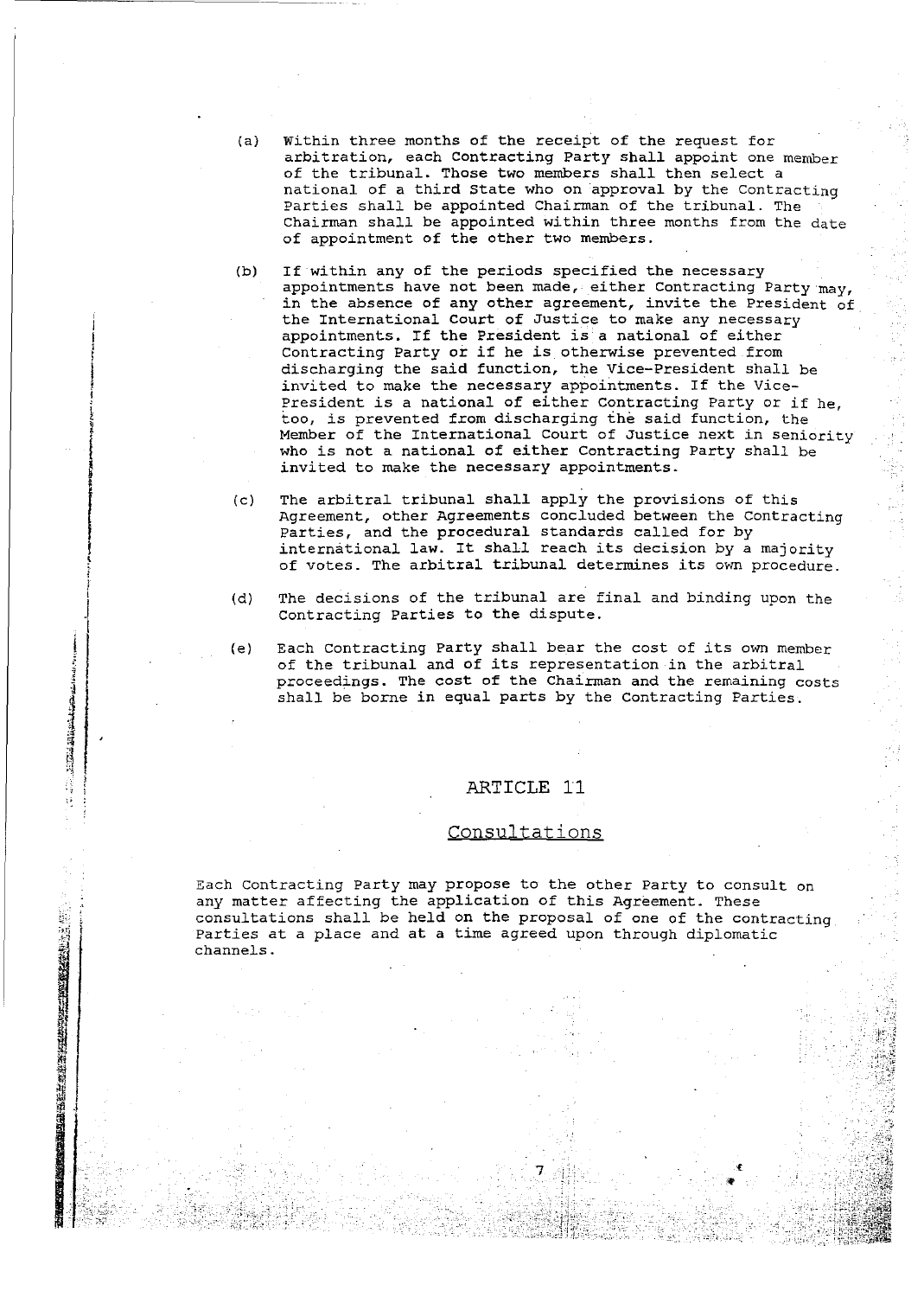- (a) within three months of the receipt of the request for arbitration, each Contracting Party shall appoint one member of the tribunal. Those two members shall then select a national of a third State who on approval by the Contracting Parties shall be appointed Chairman of the tribunal. The Chairman shall be appointed within three months from the date of appointment of the other two members.
- (b) If within any of the periods specified the necessary appointments have not been made, either Contracting Party may, in the absence of any other agreement, invite the President of the International Court of Justice to make any necessary appointments. If the President is a national of either Contracting Party or if he is otherwise prevented from discharging the said function, the Vice-President shall be invited to make the necessary appointments. If the Vice-President is a national of either Contracting Party or if he, too, *is* prevented from discharging the said function, the Member of the International Court of Justice next in seniority who is not a national of either Contracting Party shall be invited to make the necessary appointments.

I I  $\frac{1}{2}$ t i<br>I<br>I<br>I<br>I i  $, \, \, \cdot$ ~  $\sum_{i=1}^{n}$ 

!

!

! ~ *t*  l I J

, Indiana<br>1946 - Papa Jawa Barat, papa Papa Jawa Barat, papa Papa Jawa Barat, papa Papa Jawa Barat, papa Papa I<br>1946 - Papa Jawa Barat, papa Jawa Barat, papa Jawa Barat, papa Jawa Barat, papa Jawa Barat, papa Jawa Barat,

il

 $\frac{3}{2}$  ,  $\mathbb{I}$  .

." <sup>~</sup>>

- (c) The arbitral tribunal shall apply the provisions of this Agreement, other Agreements concluded between the contracting Parties, and the procedural standards called for by international law. It shall reach its decision by a majority of votes. The arbitral tribunal determines its own procedure.
- (d) The decisions of the tribunal are final and binding upon the contracting Parties to the dispute.
- (e) Each Contracting party shall bear the cost of its own member of the tribunal and of its representation in the arbitral proceedings. The cost of the Chairman and the remaining costs shall be borne in equal parts by the Contracting Parties.

#### ARTICLE 11

### Consultations

Each contracting Party may propose to the other Party to consult on any matter affecting the application of this Agreement. These consultations shall be held on the proposal of one of the contracting Parties at a place and at a time agreed upon through diplomatic channels.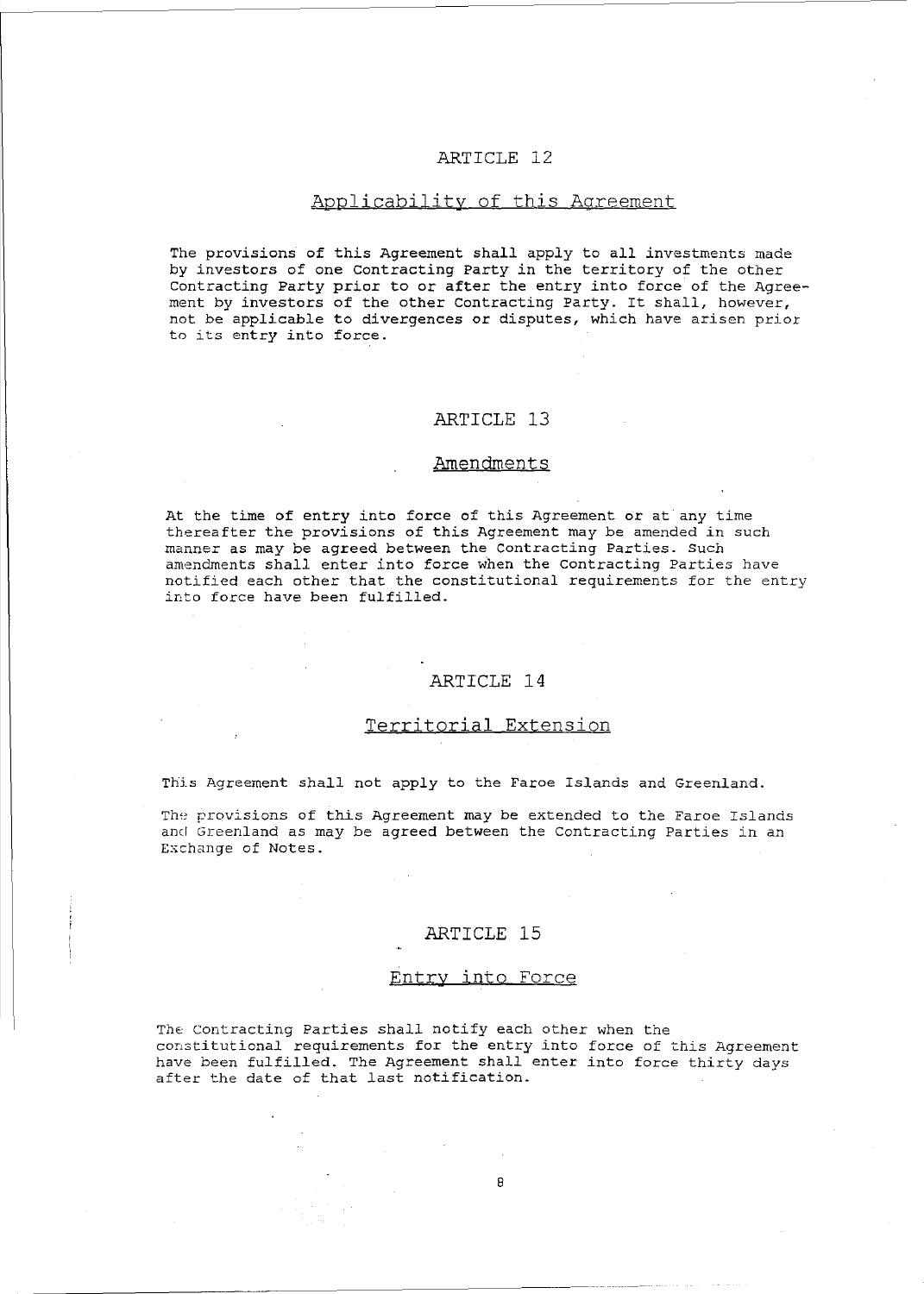### Applicability of this Agreement

The provisions of this Agreement shall apply to all investments made by investors of one contracting Party in the territory of the other Contracting Party prior to or after the entry into force of the Agreement by investors of the other contracting Party. It shall, however, not be applicable to divergences or disputes, which have arisen prior to its entry into force.

### ARTICLE 13

#### Amendments

At the time of entry into force of this Agreement or at any time thereafter the provisions of this Agreement may be amended in such manner as may be agreed between the Contracting Parties. Such amendments shall enter into force when the Contracting Parties have notified each other that the constitutional requirements for the entry into force have been fulfilled.

#### ARTICLE 14

### Territorial Extension

This Agreement shall not apply to the Faroe Islands and Greenland.

The provisions of this Agreement may be extended to the Faroe Islands and Greenland as may be agreed between the Contracting Parties in an Exchange of Notes.

#### ARTICLE 15

#### Entry into Force

The contracting Parties shall notify each other when the constitutional requirements for the entry into force of this Agreement have been fulfilled. The Agreement shall enter into force thirty days after the date of that last notification.